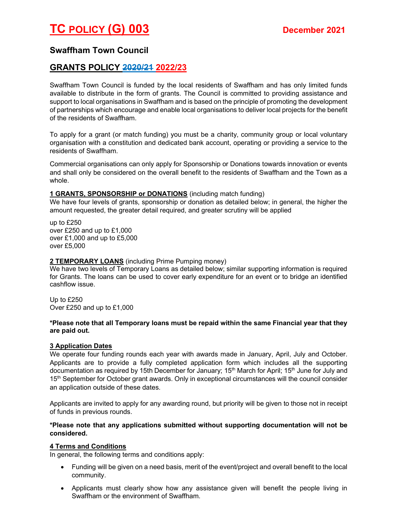# Swaffham Town Council

# GRANTS POLICY 2020/21 2022/23

Swaffham Town Council is funded by the local residents of Swaffham and has only limited funds available to distribute in the form of grants. The Council is committed to providing assistance and support to local organisations in Swaffham and is based on the principle of promoting the development of partnerships which encourage and enable local organisations to deliver local projects for the benefit of the residents of Swaffham.

To apply for a grant (or match funding) you must be a charity, community group or local voluntary organisation with a constitution and dedicated bank account, operating or providing a service to the residents of Swaffham.

Commercial organisations can only apply for Sponsorship or Donations towards innovation or events and shall only be considered on the overall benefit to the residents of Swaffham and the Town as a whole.

### 1 GRANTS, SPONSORSHIP or DONATIONS (including match funding)

We have four levels of grants, sponsorship or donation as detailed below; in general, the higher the amount requested, the greater detail required, and greater scrutiny will be applied

up to £250 over £250 and up to £1,000 over £1,000 and up to £5,000 over £5,000

## 2 TEMPORARY LOANS (including Prime Pumping money)

We have two levels of Temporary Loans as detailed below; similar supporting information is required for Grants. The loans can be used to cover early expenditure for an event or to bridge an identified cashflow issue.

Up to £250 Over £250 and up to £1,000

#### \*Please note that all Temporary loans must be repaid within the same Financial year that they are paid out.

### 3 Application Dates

We operate four funding rounds each year with awards made in January, April, July and October. Applicants are to provide a fully completed application form which includes all the supporting documentation as required by 15th December for January; 15<sup>th</sup> March for April; 15<sup>th</sup> June for July and 15<sup>th</sup> September for October grant awards. Only in exceptional circumstances will the council consider an application outside of these dates.

Applicants are invited to apply for any awarding round, but priority will be given to those not in receipt of funds in previous rounds.

### \*Please note that any applications submitted without supporting documentation will not be considered.

## 4 Terms and Conditions

In general, the following terms and conditions apply:

- Funding will be given on a need basis, merit of the event/project and overall benefit to the local community.
- Applicants must clearly show how any assistance given will benefit the people living in Swaffham or the environment of Swaffham.